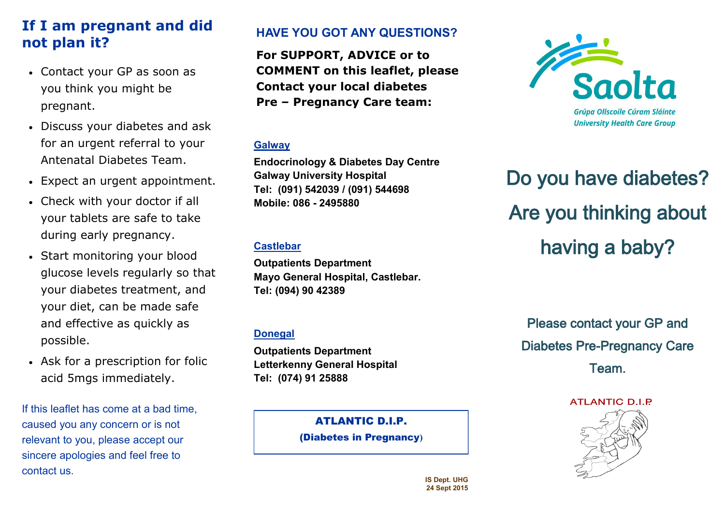## **If I am pregnant and did not plan it?**

- Contact your GP as soon as you think you might be pregnant.
- Discuss your diabetes and ask for an urgent referral to your Antenatal Diabetes Team.
- Expect an urgent appointment.
- Check with your doctor if all your tablets are safe to take during early pregnancy.
- Start monitoring your blood glucose levels regularly so that your diabetes treatment, and your diet, can be made safe and effective as quickly as possible.
- Ask for a prescription for folic acid 5mgs immediately.

If this leaflet has come at a bad time, caused you any concern or is not relevant to you, please accept our sincere apologies and feel free to contact us.

### **HAVE YOU GOT ANY QUESTIONS?**

**For SUPPORT, ADVICE or to COMMENT on this leaflet, please Contact your local diabetes Pre – Pregnancy Care team:**

#### **Galway**

**Endocrinology & Diabetes Day Centre Galway University Hospital Tel: (091) 542039 / (091) 544698 Mobile: 086 - 2495880**

#### **Castlebar**

**Outpatients Department Mayo General Hospital, Castlebar. Tel: (094) 90 42389** 

#### **Donegal**

**Outpatients Department Letterkenny General Hospital Tel: (074) 91 25888** 

ATLANTIC D.I.P.

(Diabetes in Pregnancy**)**



# Do you have diabetes? Are you thinking about having a baby?

Please contact your GP and Diabetes Pre-Pregnancy Care Team.

**ATLANTIC D.I.P** 



**IS Dept. UHG 24 Sept 2015**